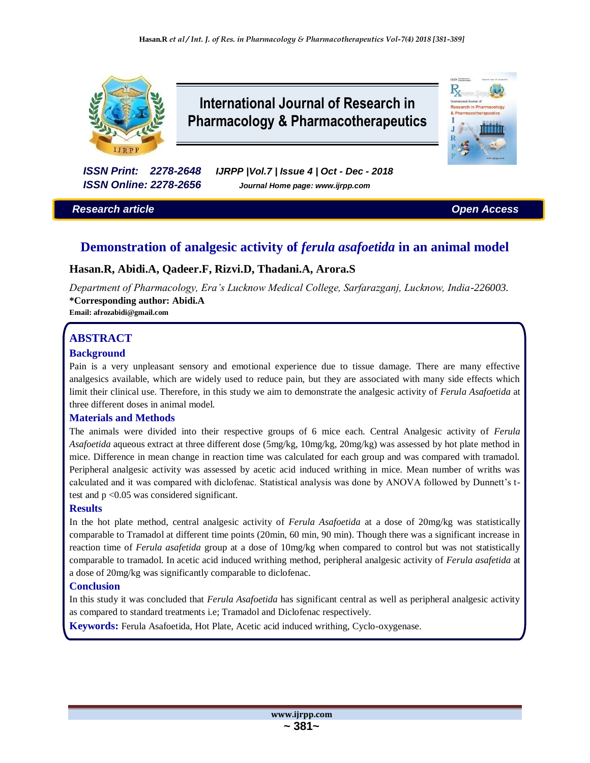

# **International Journal of Research in Pharmacology & Pharmacotherapeutics**



*ISSN Print: 2278-2648 IJRPP |Vol.7 | Issue 4 | Oct - Dec - 2018 ISSN Online: 2278-2656 Journal Home page: www.ijrpp.com*

*Research article Open Access*

## **Demonstration of analgesic activity of** *ferula asafoetida* **in an animal model**

## **Hasan.R, Abidi.A, Qadeer.F, Rizvi.D, Thadani.A, Arora.S**

*Department of Pharmacology, Era's Lucknow Medical College, Sarfarazganj, Lucknow, India-226003.* **\*Corresponding author: Abidi.A**

**Email: afrozabidi@gmail.com**

## **ABSTRACT**

#### **Background**

Pain is a very unpleasant sensory and emotional experience due to tissue damage. There are many effective analgesics available, which are widely used to reduce pain, but they are associated with many side effects which limit their clinical use. Therefore, in this study we aim to demonstrate the analgesic activity of *Ferula Asafoetida* at three different doses in animal model.

#### **Materials and Methods**

The animals were divided into their respective groups of 6 mice each. Central Analgesic activity of *Ferula Asafoetida* aqueous extract at three different dose (5mg/kg, 10mg/kg, 20mg/kg) was assessed by hot plate method in mice. Difference in mean change in reaction time was calculated for each group and was compared with tramadol. Peripheral analgesic activity was assessed by acetic acid induced writhing in mice. Mean number of wriths was calculated and it was compared with diclofenac. Statistical analysis was done by ANOVA followed by Dunnett's ttest and p <0.05 was considered significant.

#### **Results**

In the hot plate method, central analgesic activity of *Ferula Asafoetida* at a dose of 20mg/kg was statistically comparable to Tramadol at different time points (20min, 60 min, 90 min). Though there was a significant increase in reaction time of *Ferula asafetida* group at a dose of 10mg/kg when compared to control but was not statistically comparable to tramadol. In acetic acid induced writhing method, peripheral analgesic activity of *Ferula asafetida* at a dose of 20mg/kg was significantly comparable to diclofenac.

#### **Conclusion**

In this study it was concluded that *Ferula Asafoetida* has significant central as well as peripheral analgesic activity as compared to standard treatments i.e; Tramadol and Diclofenac respectively.

**Keywords:** Ferula Asafoetida, Hot Plate, Acetic acid induced writhing, Cyclo-oxygenase.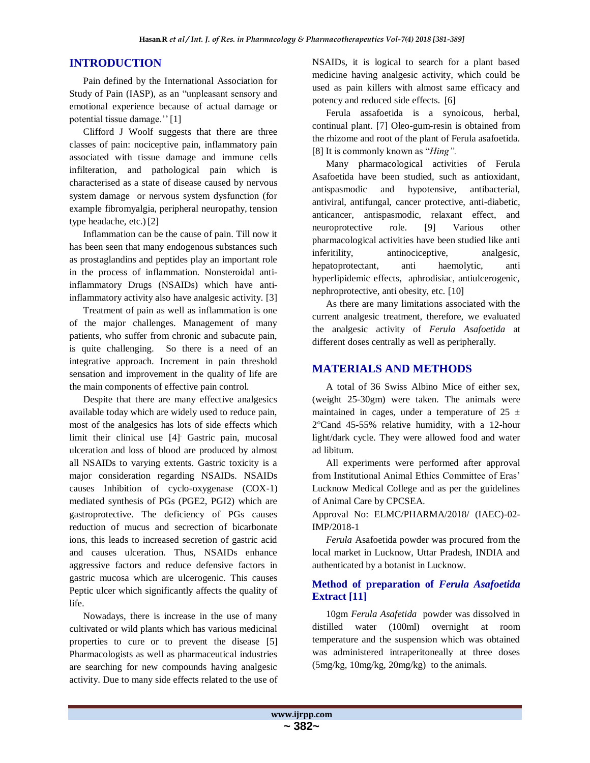## **INTRODUCTION**

Pain defined by the International Association for Study of Pain (IASP), as an "unpleasant sensory and emotional experience because of actual damage or potential tissue damage.''[1]

Clifford J Woolf suggests that there are three classes of pain: nociceptive pain, inflammatory pain associated with tissue damage and immune cells infilteration, and pathological pain which is characterised as a state of disease caused by nervous system damage or nervous system dysfunction (for example fibromyalgia, peripheral neuropathy, tension type headache, etc.) [2]

Inflammation can be the cause of pain. Till now it has been seen that many endogenous substances such as prostaglandins and peptides play an important role in the process of inflammation. Nonsteroidal antiinflammatory Drugs (NSAIDs) which have antiinflammatory activity also have analgesic activity. [3]

Treatment of pain as well as inflammation is one of the major challenges. Management of many patients, who suffer from chronic and subacute pain, is quite challenging. So there is a need of an integrative approach. Increment in pain threshold sensation and improvement in the quality of life are the main components of effective pain control.

Despite that there are many effective analgesics available today which are widely used to reduce pain, most of the analgesics has lots of side effects which limit their clinical use [4]. Gastric pain, mucosal ulceration and loss of blood are produced by almost all NSAIDs to varying extents. Gastric toxicity is a major consideration regarding NSAIDs. NSAIDs causes Inhibition of cyclo-oxygenase (COX-1) mediated synthesis of PGs (PGE2, PGI2) which are gastroprotective. The deficiency of PGs causes reduction of mucus and secrection of bicarbonate ions, this leads to increased secretion of gastric acid and causes ulceration. Thus, NSAIDs enhance aggressive factors and reduce defensive factors in gastric mucosa which are ulcerogenic. This causes Peptic ulcer which significantly affects the quality of life.

Nowadays, there is increase in the use of many cultivated or wild plants which has various medicinal properties to cure or to prevent the disease [5] Pharmacologists as well as pharmaceutical industries are searching for new compounds having analgesic activity. Due to many side effects related to the use of NSAIDs, it is logical to search for a plant based medicine having analgesic activity, which could be used as pain killers with almost same efficacy and potency and reduced side effects. [6]

Ferula assafoetida is a synoicous, herbal, continual plant. [7] Oleo-gum-resin is obtained from the rhizome and root of the plant of Ferula asafoetida. [8] It is commonly known as "*Hing".*

Many pharmacological activities of Ferula Asafoetida have been studied, such as antioxidant, antispasmodic and hypotensive, antibacterial, antiviral, antifungal, cancer protective, anti-diabetic, anticancer, antispasmodic, relaxant effect, and neuroprotective role. [9] Various other pharmacological activities have been studied like anti inferitility, antinociceptive, analgesic, hepatoprotectant, anti haemolytic, anti hyperlipidemic effects, aphrodisiac, antiulcerogenic, nephroprotective, anti obesity, etc. [10]

As there are many limitations associated with the current analgesic treatment, therefore, we evaluated the analgesic activity of *Ferula Asafoetida* at different doses centrally as well as peripherally.

## **MATERIALS AND METHODS**

A total of 36 Swiss Albino Mice of either sex, (weight 25-30gm) were taken. The animals were maintained in cages, under a temperature of  $25 \pm$ 2°Cand 45-55% relative humidity, with a 12-hour light/dark cycle. They were allowed food and water ad libitum.

All experiments were performed after approval from Institutional Animal Ethics Committee of Eras' Lucknow Medical College and as per the guidelines of Animal Care by CPCSEA.

Approval No: ELMC/PHARMA/2018/ (IAEC)-02- IMP/2018-1

*Ferula* Asafoetida powder was procured from the local market in Lucknow, Uttar Pradesh, INDIA and authenticated by a botanist in Lucknow.

#### **Method of preparation of** *Ferula Asafoetida*  **Extract [11]**

10gm *Ferula Asafetida* powder was dissolved in distilled water (100ml) overnight at room temperature and the suspension which was obtained was administered intraperitoneally at three doses (5mg/kg, 10mg/kg, 20mg/kg) to the animals.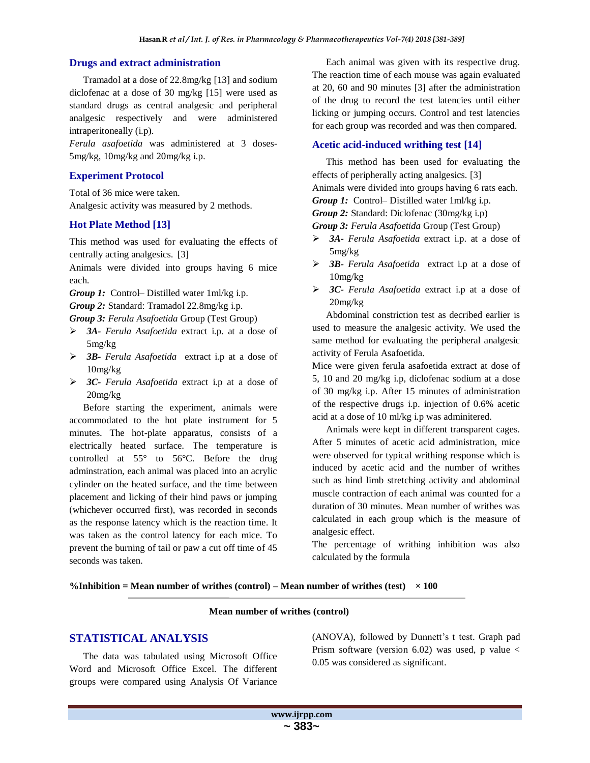#### **Drugs and extract administration**

Tramadol at a dose of 22.8mg/kg [13] and sodium diclofenac at a dose of 30 mg/kg [15] were used as standard drugs as central analgesic and peripheral analgesic respectively and were administered intraperitoneally (i.p).

*Ferula asafoetida* was administered at 3 doses-5mg/kg, 10mg/kg and 20mg/kg i.p.

#### **Experiment Protocol**

Total of 36 mice were taken. Analgesic activity was measured by 2 methods.

#### **Hot Plate Method [13]**

This method was used for evaluating the effects of centrally acting analgesics. [3]

Animals were divided into groups having 6 mice each.

*Group 1:* Control– Distilled water 1ml/kg i.p.

*Group 2:* Standard: Tramadol 22.8mg/kg i.p.

*Group 3: Ferula Asafoetida* Group (Test Group)

- *3A- Ferula Asafoetida* extract i.p. at a dose of 5mg/kg
- *3B- Ferula Asafoetida* extract i.p at a dose of 10mg/kg
- *3C- Ferula Asafoetida* extract i.p at a dose of 20mg/kg

Before starting the experiment, animals were accommodated to the hot plate instrument for 5 minutes. The hot-plate apparatus, consists of a electrically heated surface. The temperature is controlled at 55° to 56°C. Before the drug adminstration, each animal was placed into an acrylic cylinder on the heated surface, and the time between placement and licking of their hind paws or jumping (whichever occurred first), was recorded in seconds as the response latency which is the reaction time. It was taken as the control latency for each mice. To prevent the burning of tail or paw a cut off time of 45 seconds was taken.

Each animal was given with its respective drug. The reaction time of each mouse was again evaluated at 20, 60 and 90 minutes [3] after the administration of the drug to record the test latencies until either licking or jumping occurs. Control and test latencies for each group was recorded and was then compared.

#### **Acetic acid-induced writhing test [14]**

This method has been used for evaluating the effects of peripherally acting analgesics. [3] Animals were divided into groups having 6 rats each.

*Group 1:* Control– Distilled water 1ml/kg i.p.

*Group 2:* Standard: Diclofenac (30mg/kg i.p)

*Group 3: Ferula Asafoetida* Group (Test Group)

- *3A- Ferula Asafoetida* extract i.p. at a dose of 5mg/kg
- *3B- Ferula Asafoetida* extract i.p at a dose of 10mg/kg
- *3C- Ferula Asafoetida* extract i.p at a dose of 20mg/kg

Abdominal constriction test as decribed earlier is used to measure the analgesic activity. We used the same method for evaluating the peripheral analgesic activity of Ferula Asafoetida.

Mice were given ferula asafoetida extract at dose of 5, 10 and 20 mg/kg i.p, diclofenac sodium at a dose of 30 mg/kg i.p. After 15 minutes of administration of the respective drugs i.p. injection of 0.6% acetic acid at a dose of 10 ml/kg i.p was adminitered.

Animals were kept in different transparent cages. After 5 minutes of acetic acid administration, mice were observed for typical writhing response which is induced by acetic acid and the number of writhes such as hind limb stretching activity and abdominal muscle contraction of each animal was counted for a duration of 30 minutes. Mean number of writhes was calculated in each group which is the measure of analgesic effect.

The percentage of writhing inhibition was also calculated by the formula

**%Inhibition = Mean number of writhes (control) – Mean number of writhes (test) × 100**

#### **Mean number of writhes (control)**

#### **STATISTICAL ANALYSIS**

The data was tabulated using Microsoft Office Word and Microsoft Office Excel. The different groups were compared using Analysis Of Variance

(ANOVA), followed by Dunnett's t test. Graph pad Prism software (version 6.02) was used, p value < 0.05 was considered as significant.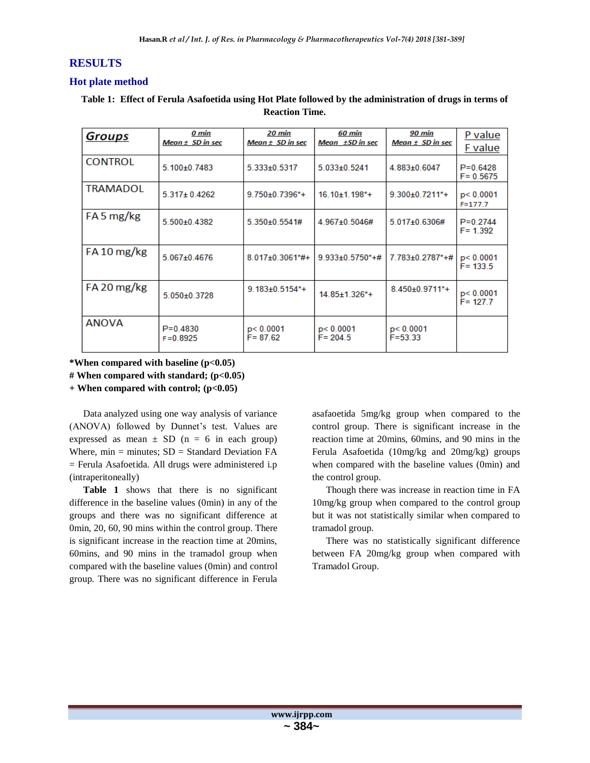## **RESULTS**

#### **Hot plate method**

#### **Table 1: Effect of Ferula Asafoetida using Hot Plate followed by the administration of drugs in terms of Reaction Time.**

| Groups          | 0 min<br>Mean ± SD in sec    | 20 min<br>Mean $\pm$ SD in sec    | 60 min<br>Mean ±SD in sec      | 90 min<br>Mean $\pm$ SD in sec | P value<br>F value           |
|-----------------|------------------------------|-----------------------------------|--------------------------------|--------------------------------|------------------------------|
| <b>CONTROL</b>  | 5.100±0.7483                 | 5.333±0.5317                      | 5.033±0.5241                   | 4.883±0.6047                   | $P = 0.6428$<br>$F = 0.5675$ |
| <b>TRAMADOL</b> | $5.317 \pm 0.4262$           | $9.750\pm0.7396*$ +               | $16.10\pm1.198$ <sup>*</sup> + | $9.300 \pm 0.7211$ *+          | p < 0.0001<br>$F = 177.7$    |
| FA 5 mg/kg      | 5.500±0.4382                 | 5.350±0.5541#                     | 4.967±0.5046#                  | 5.017±0.6306#                  | $P = 0.2744$<br>$F = 1.392$  |
| FA 10 mg/kg     | 5.067±0.4676                 | 8.017±0.3061*#+                   | $9.933 \pm 0.5750^* + \#$      | $7.783 \pm 0.2787$ *+#         | p< 0.0001<br>$F = 133.5$     |
| FA 20 mg/kg     | 5.050±0.3728                 | $9.183 \pm 0.5154$ <sup>*</sup> + | 14 85+1 326*+                  | 8.450±0.9711*+                 | p < 0.0001<br>$F = 127.7$    |
| <b>ANOVA</b>    | $P = 0.4830$<br>$F = 0.8925$ | p < 0.0001<br>$F = 87.62$         | p < 0.0001<br>$F = 204.5$      | p < 0.0001<br>$F = 53.33$      |                              |

**\*When compared with baseline (p<0.05) # When compared with standard; (p<0.05)**

**+ When compared with control; (p<0.05)**

Data analyzed using one way analysis of variance (ANOVA) followed by Dunnet's test. Values are expressed as mean  $\pm$  SD (n = 6 in each group) Where,  $min = minutes$ ;  $SD = Standard Deviation FA$ = Ferula Asafoetida. All drugs were administered i.p (intraperitoneally)

**Table 1** shows that there is no significant difference in the baseline values (0min) in any of the groups and there was no significant difference at 0min, 20, 60, 90 mins within the control group. There is significant increase in the reaction time at 20mins, 60mins, and 90 mins in the tramadol group when compared with the baseline values (0min) and control group. There was no significant difference in Ferula

asafaoetida 5mg/kg group when compared to the control group. There is significant increase in the reaction time at 20mins, 60mins, and 90 mins in the Ferula Asafoetida (10mg/kg and 20mg/kg) groups when compared with the baseline values (0min) and the control group.

Though there was increase in reaction time in FA 10mg/kg group when compared to the control group but it was not statistically similar when compared to tramadol group.

There was no statistically significant difference between FA 20mg/kg group when compared with Tramadol Group.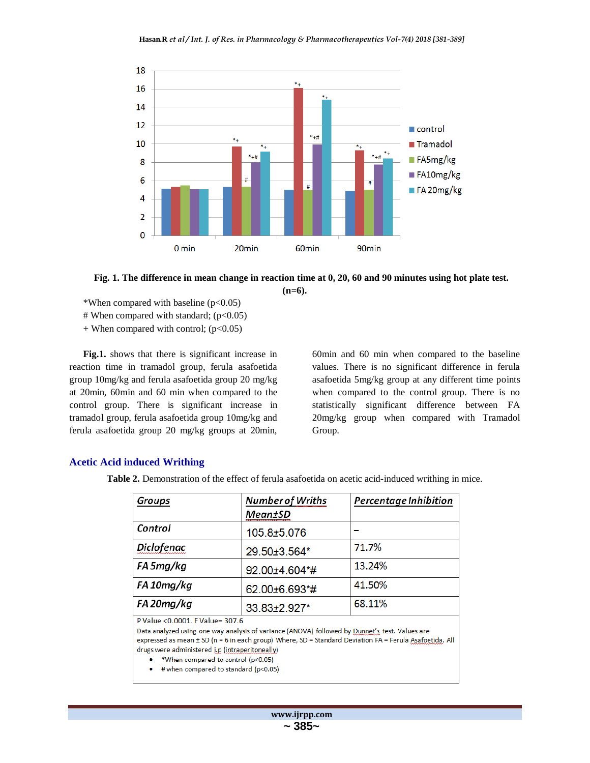

**Fig. 1. The difference in mean change in reaction time at 0, 20, 60 and 90 minutes using hot plate test. (n=6).**

- \*When compared with baseline  $(p<0.05)$
- # When compared with standard; (p<0.05)
- $+$  When compared with control; ( $p<0.05$ )

**Fig.1.** shows that there is significant increase in reaction time in tramadol group, ferula asafoetida group 10mg/kg and ferula asafoetida group 20 mg/kg at 20min, 60min and 60 min when compared to the control group. There is significant increase in tramadol group, ferula asafoetida group 10mg/kg and ferula asafoetida group 20 mg/kg groups at 20min,

60min and 60 min when compared to the baseline values. There is no significant difference in ferula asafoetida 5mg/kg group at any different time points when compared to the control group. There is no statistically significant difference between FA 20mg/kg group when compared with Tramadol Group.

#### **Acetic Acid induced Writhing**

**Table 2.** Demonstration of the effect of ferula asafoetida on acetic acid-induced writhing in mice.

| Groups                                            | <b>Number of Wriths</b>                                                                                                                                                                                   | Percentage Inhibition |  |  |  |
|---------------------------------------------------|-----------------------------------------------------------------------------------------------------------------------------------------------------------------------------------------------------------|-----------------------|--|--|--|
|                                                   | <b>Mean±SD</b>                                                                                                                                                                                            |                       |  |  |  |
| Control                                           | 105.8±5.076                                                                                                                                                                                               |                       |  |  |  |
| Diclofenac                                        | 29.50±3.564*                                                                                                                                                                                              | 71.7%                 |  |  |  |
| FA 5mg/kg                                         | 92.00±4.604*#                                                                                                                                                                                             | 13.24%                |  |  |  |
| FA 10mg/kg                                        | 62.00±6.693*#                                                                                                                                                                                             | 41.50%                |  |  |  |
| FA 20mg/kg                                        | 33.83±2.927*                                                                                                                                                                                              | 68.11%                |  |  |  |
| P Value < 0.0001. F Value= 307.6                  |                                                                                                                                                                                                           |                       |  |  |  |
|                                                   | Data analyzed using one way analysis of variance (ANOVA) followed by Dunnet's test. Values are<br>expressed as mean ± SD (n = 6 in each group) Where, SD = Standard Deviation FA = Ferula Asafoetida. All |                       |  |  |  |
| drugs were administered i.p (intraperitoneally)   |                                                                                                                                                                                                           |                       |  |  |  |
| *When compared to control (p<0.05)                |                                                                                                                                                                                                           |                       |  |  |  |
| $\bullet$ # when compared to standard (p $(0.65)$ |                                                                                                                                                                                                           |                       |  |  |  |

# when compared to standard (p<0.05)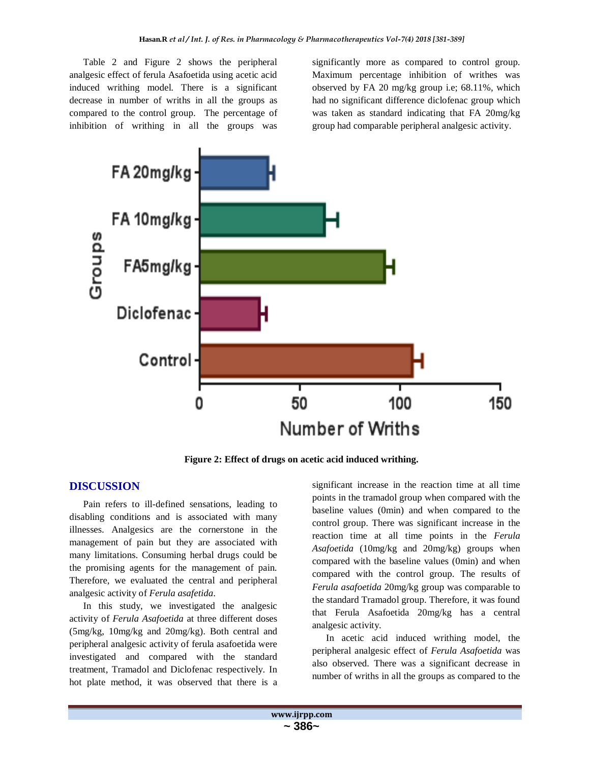Table 2 and Figure 2 shows the peripheral analgesic effect of ferula Asafoetida using acetic acid induced writhing model. There is a significant decrease in number of wriths in all the groups as compared to the control group. The percentage of inhibition of writhing in all the groups was

significantly more as compared to control group. Maximum percentage inhibition of writhes was observed by FA 20 mg/kg group i.e; 68.11%, which had no significant difference diclofenac group which was taken as standard indicating that FA 20mg/kg group had comparable peripheral analgesic activity.



**Figure 2: Effect of drugs on acetic acid induced writhing.**

#### **DISCUSSION**

Pain refers to ill-defined sensations, leading to disabling conditions and is associated with many illnesses. Analgesics are the cornerstone in the management of pain but they are associated with many limitations. Consuming herbal drugs could be the promising agents for the management of pain. Therefore, we evaluated the central and peripheral analgesic activity of *Ferula asafetida*.

In this study, we investigated the analgesic activity of *Ferula Asafoetida* at three different doses (5mg/kg, 10mg/kg and 20mg/kg). Both central and peripheral analgesic activity of ferula asafoetida were investigated and compared with the standard treatment, Tramadol and Diclofenac respectively. In hot plate method, it was observed that there is a

significant increase in the reaction time at all time points in the tramadol group when compared with the baseline values (0min) and when compared to the control group. There was significant increase in the reaction time at all time points in the *Ferula Asafoetida* (10mg/kg and 20mg/kg) groups when compared with the baseline values (0min) and when compared with the control group. The results of *Ferula asafoetida* 20mg/kg group was comparable to the standard Tramadol group. Therefore, it was found that Ferula Asafoetida 20mg/kg has a central analgesic activity.

In acetic acid induced writhing model, the peripheral analgesic effect of *Ferula Asafoetida* was also observed. There was a significant decrease in number of wriths in all the groups as compared to the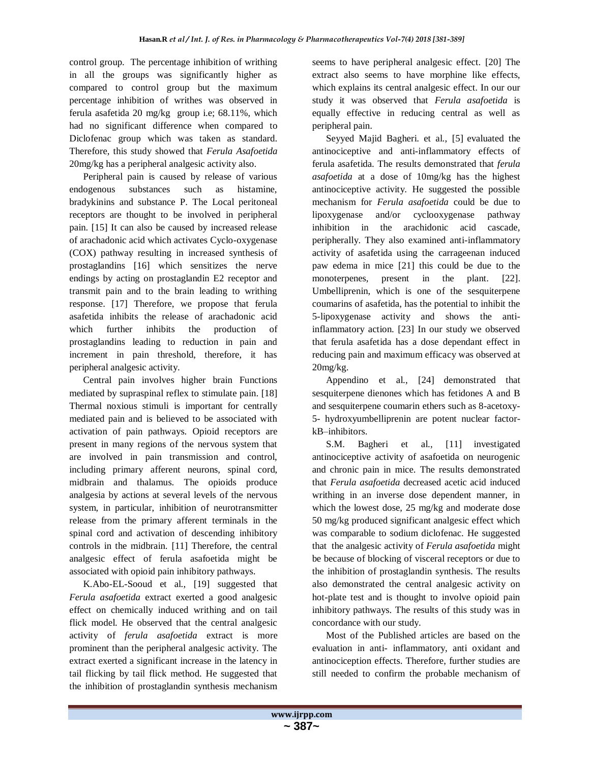control group. The percentage inhibition of writhing in all the groups was significantly higher as compared to control group but the maximum percentage inhibition of writhes was observed in ferula asafetida 20 mg/kg group i.e; 68.11%, which had no significant difference when compared to Diclofenac group which was taken as standard. Therefore, this study showed that *Ferula Asafoetida* 20mg/kg has a peripheral analgesic activity also.

Peripheral pain is caused by release of various endogenous substances such as histamine, bradykinins and substance P. The Local peritoneal receptors are thought to be involved in peripheral pain. [15] It can also be caused by increased release of arachadonic acid which activates Cyclo-oxygenase (COX) pathway resulting in increased synthesis of prostaglandins [16] which sensitizes the nerve endings by acting on prostaglandin E2 receptor and transmit pain and to the brain leading to writhing response. [17] Therefore, we propose that ferula asafetida inhibits the release of arachadonic acid which further inhibits the production of prostaglandins leading to reduction in pain and increment in pain threshold, therefore, it has peripheral analgesic activity.

Central pain involves higher brain Functions mediated by supraspinal reflex to stimulate pain. [18] Thermal noxious stimuli is important for centrally mediated pain and is believed to be associated with activation of pain pathways. Opioid receptors are present in many regions of the nervous system that are involved in pain transmission and control, including primary afferent neurons, spinal cord, midbrain and thalamus. The opioids produce analgesia by actions at several levels of the nervous system, in particular, inhibition of neurotransmitter release from the primary afferent terminals in the spinal cord and activation of descending inhibitory controls in the midbrain. [11] Therefore, the central analgesic effect of ferula asafoetida might be associated with opioid pain inhibitory pathways.

K.Abo-EL-Sooud et al., [19] suggested that *Ferula asafoetida* extract exerted a good analgesic effect on chemically induced writhing and on tail flick model. He observed that the central analgesic activity of *ferula asafoetida* extract is more prominent than the peripheral analgesic activity. The extract exerted a significant increase in the latency in tail flicking by tail flick method. He suggested that the inhibition of prostaglandin synthesis mechanism seems to have peripheral analgesic effect. [20] The extract also seems to have morphine like effects, which explains its central analgesic effect. In our our study it was observed that *Ferula asafoetida* is equally effective in reducing central as well as peripheral pain.

Seyyed Majid Bagheri. et al., [5] evaluated the antinociceptive and anti-inflammatory effects of ferula asafetida. The results demonstrated that *ferula asafoetida* at a dose of 10mg/kg has the highest antinociceptive activity. He suggested the possible mechanism for *Ferula asafoetida* could be due to lipoxygenase and/or cyclooxygenase pathway inhibition in the arachidonic acid cascade, peripherally. They also examined anti-inflammatory activity of asafetida using the carrageenan induced paw edema in mice [21] this could be due to the monoterpenes, present in the plant. [22]. Umbelliprenin, which is one of the sesquiterpene coumarins of asafetida, has the potential to inhibit the 5-lipoxygenase activity and shows the antiinflammatory action. [23] In our study we observed that ferula asafetida has a dose dependant effect in reducing pain and maximum efficacy was observed at  $20$ mg/ $kg$ .

Appendino et al., [24] demonstrated that sesquiterpene dienones which has fetidones A and B and sesquiterpene coumarin ethers such as 8-acetoxy-5- hydroxyumbelliprenin are potent nuclear factorkB–inhibitors.

S.M. Bagheri et al., [11] investigated antinociceptive activity of asafoetida on neurogenic and chronic pain in mice. The results demonstrated that *Ferula asafoetida* decreased acetic acid induced writhing in an inverse dose dependent manner, in which the lowest dose, 25 mg/kg and moderate dose 50 mg/kg produced significant analgesic effect which was comparable to sodium diclofenac. He suggested that the analgesic activity of *Ferula asafoetida* might be because of blocking of visceral receptors or due to the inhibition of prostaglandin synthesis. The results also demonstrated the central analgesic activity on hot-plate test and is thought to involve opioid pain inhibitory pathways. The results of this study was in concordance with our study.

Most of the Published articles are based on the evaluation in anti- inflammatory, anti oxidant and antinociception effects. Therefore, further studies are still needed to confirm the probable mechanism of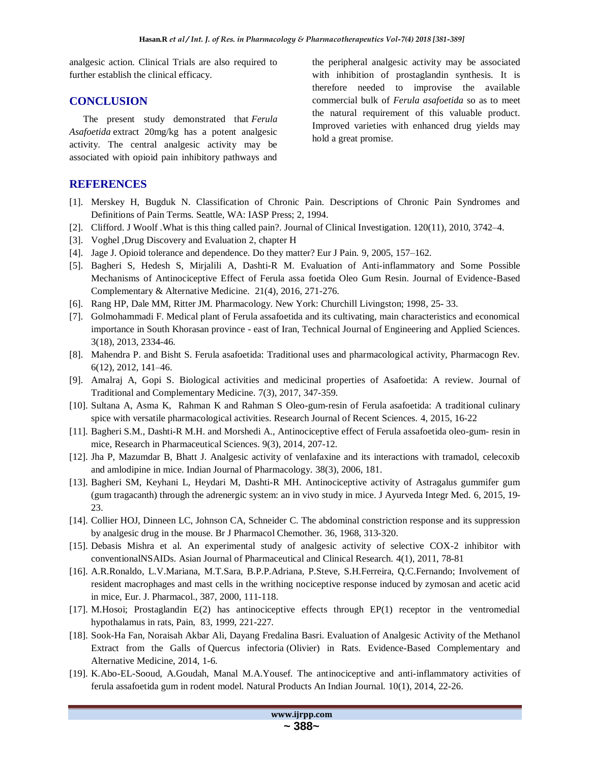analgesic action. Clinical Trials are also required to further establish the clinical efficacy.

#### **CONCLUSION**

The present study demonstrated that *Ferula Asafoetida* extract 20mg/kg has a potent analgesic activity. The central analgesic activity may be associated with opioid pain inhibitory pathways and the peripheral analgesic activity may be associated with inhibition of prostaglandin synthesis. It is therefore needed to improvise the available commercial bulk of *Ferula asafoetida* so as to meet the natural requirement of this valuable product. Improved varieties with enhanced drug yields may hold a great promise.

### **REFERENCES**

- [1]. Merskey H, Bugduk N. Classification of Chronic Pain. Descriptions of Chronic Pain Syndromes and Definitions of Pain Terms. Seattle, WA: IASP Press; 2, 1994.
- [2]. Clifford. J Woolf .What is this thing called pain?. Journal of Clinical Investigation. 120(11), 2010, 3742–4.
- [3]. Voghel ,Drug Discovery and Evaluation 2, chapter H
- [4]. Jage J. Opioid tolerance and dependence. Do they matter? Eur J Pain. 9, 2005, 157–162.
- [5]. Bagheri S, Hedesh S, Mirjalili A, Dashti-R M. Evaluation of Anti-inflammatory and Some Possible Mechanisms of Antinociceptive Effect of Ferula assa foetida Oleo Gum Resin. Journal of Evidence-Based Complementary & Alternative Medicine. 21(4), 2016, 271-276.
- [6]. Rang HP, Dale MM, Ritter JM. Pharmacology. New York: Churchill Livingston; 1998, 25- 33.
- [7]. Golmohammadi F. Medical plant of Ferula assafoetida and its cultivating, main characteristics and economical importance in South Khorasan province - east of Iran, Technical Journal of Engineering and Applied Sciences. 3(18), 2013, 2334-46.
- [8]. Mahendra P. and Bisht S. Ferula asafoetida: Traditional uses and pharmacological activity, Pharmacogn Rev. 6(12), 2012, 141–46.
- [9]. Amalraj A, Gopi S. Biological activities and medicinal properties of Asafoetida: A review. Journal of Traditional and Complementary Medicine. 7(3), 2017, 347-359.
- [10]. Sultana A, Asma K, Rahman K and Rahman S Oleo-gum-resin of Ferula asafoetida: A traditional culinary spice with versatile pharmacological activities. Research Journal of Recent Sciences. 4, 2015, 16-22
- [11]. Bagheri S.M., Dashti-R M.H. and Morshedi A., Antinociceptive effect of Ferula assafoetida oleo-gum- resin in mice, Research in Pharmaceutical Sciences. 9(3), 2014, 207-12.
- [12]. Jha P, Mazumdar B, Bhatt J. Analgesic activity of venlafaxine and its interactions with tramadol, celecoxib and amlodipine in mice. Indian Journal of Pharmacology. 38(3), 2006, 181.
- [13]. Bagheri SM, Keyhani L, Heydari M, Dashti-R MH. Antinociceptive activity of Astragalus gummifer gum (gum tragacanth) through the adrenergic system: an in vivo study in mice. J Ayurveda Integr Med. 6, 2015, 19- 23.
- [14]. Collier HOJ, Dinneen LC, Johnson CA, Schneider C. The abdominal constriction response and its suppression by analgesic drug in the mouse. Br J Pharmacol Chemother. 36, 1968, 313-320.
- [15]. Debasis Mishra et al. An experimental study of analgesic activity of selective COX-2 inhibitor with conventionalNSAIDs. Asian Journal of Pharmaceutical and Clinical Research. 4(1), 2011, 78-81
- [16]. A.R.Ronaldo, L.V.Mariana, M.T.Sara, B.P.P.Adriana, P.Steve, S.H.Ferreira, Q.C.Fernando; Involvement of resident macrophages and mast cells in the writhing nociceptive response induced by zymosan and acetic acid in mice, Eur. J. Pharmacol., 387, 2000, 111-118.
- [17]. M.Hosoi; Prostaglandin E(2) has antinociceptive effects through EP(1) receptor in the ventromedial hypothalamus in rats, Pain, 83, 1999, 221-227.
- [18]. Sook-Ha Fan, Noraisah Akbar Ali, Dayang Fredalina Basri. Evaluation of Analgesic Activity of the Methanol Extract from the Galls of Quercus infectoria (Olivier) in Rats. Evidence-Based Complementary and Alternative Medicine, 2014, 1-6.
- [19]. K.Abo-EL-Sooud, A.Goudah, Manal M.A.Yousef. The antinociceptive and anti-inflammatory activities of ferula assafoetida gum in rodent model. Natural Products An Indian Journal. 10(1), 2014, 22-26.